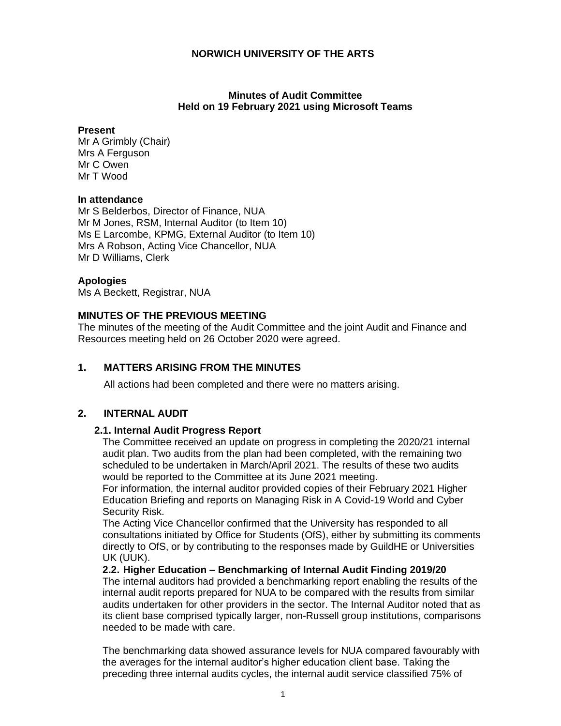## **Minutes of Audit Committee Held on 19 February 2021 using Microsoft Teams**

## **Present**

Mr A Grimbly (Chair) Mrs A Ferguson Mr C Owen Mr T Wood

# **In attendance**

Mr S Belderbos, Director of Finance, NUA Mr M Jones, RSM, Internal Auditor (to Item 10) Ms E Larcombe, KPMG, External Auditor (to Item 10) Mrs A Robson, Acting Vice Chancellor, NUA Mr D Williams, Clerk

# **Apologies**

Ms A Beckett, Registrar, NUA

# **MINUTES OF THE PREVIOUS MEETING**

The minutes of the meeting of the Audit Committee and the joint Audit and Finance and Resources meeting held on 26 October 2020 were agreed.

# **1. MATTERS ARISING FROM THE MINUTES**

All actions had been completed and there were no matters arising.

# **2. INTERNAL AUDIT**

## **2.1. Internal Audit Progress Report**

The Committee received an update on progress in completing the 2020/21 internal audit plan. Two audits from the plan had been completed, with the remaining two scheduled to be undertaken in March/April 2021. The results of these two audits would be reported to the Committee at its June 2021 meeting.

For information, the internal auditor provided copies of their February 2021 Higher Education Briefing and reports on Managing Risk in A Covid-19 World and Cyber Security Risk.

The Acting Vice Chancellor confirmed that the University has responded to all consultations initiated by Office for Students (OfS), either by submitting its comments directly to OfS, or by contributing to the responses made by GuildHE or Universities UK (UUK).

## **2.2. Higher Education – Benchmarking of Internal Audit Finding 2019/20**

The internal auditors had provided a benchmarking report enabling the results of the internal audit reports prepared for NUA to be compared with the results from similar audits undertaken for other providers in the sector. The Internal Auditor noted that as its client base comprised typically larger, non-Russell group institutions, comparisons needed to be made with care.

The benchmarking data showed assurance levels for NUA compared favourably with the averages for the internal auditor's higher education client base. Taking the preceding three internal audits cycles, the internal audit service classified 75% of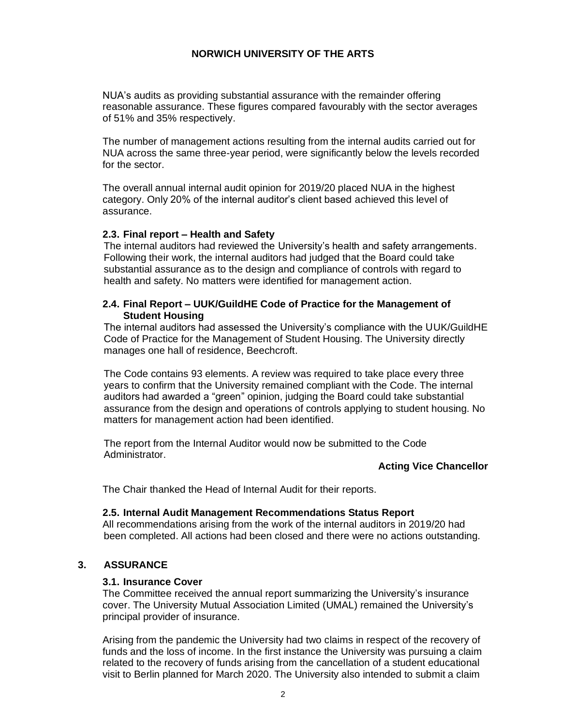NUA's audits as providing substantial assurance with the remainder offering reasonable assurance. These figures compared favourably with the sector averages of 51% and 35% respectively.

The number of management actions resulting from the internal audits carried out for NUA across the same three-year period, were significantly below the levels recorded for the sector.

The overall annual internal audit opinion for 2019/20 placed NUA in the highest category. Only 20% of the internal auditor's client based achieved this level of assurance.

#### **2.3. Final report – Health and Safety**

The internal auditors had reviewed the University's health and safety arrangements. Following their work, the internal auditors had judged that the Board could take substantial assurance as to the design and compliance of controls with regard to health and safety. No matters were identified for management action.

### **2.4. Final Report – UUK/GuildHE Code of Practice for the Management of Student Housing**

The internal auditors had assessed the University's compliance with the UUK/GuildHE Code of Practice for the Management of Student Housing. The University directly manages one hall of residence, Beechcroft.

The Code contains 93 elements. A review was required to take place every three years to confirm that the University remained compliant with the Code. The internal auditors had awarded a "green" opinion, judging the Board could take substantial assurance from the design and operations of controls applying to student housing. No matters for management action had been identified.

The report from the Internal Auditor would now be submitted to the Code Administrator.

## **Acting Vice Chancellor**

The Chair thanked the Head of Internal Audit for their reports.

## **2.5. Internal Audit Management Recommendations Status Report**

All recommendations arising from the work of the internal auditors in 2019/20 had been completed. All actions had been closed and there were no actions outstanding.

# **3. ASSURANCE**

#### **3.1. Insurance Cover**

The Committee received the annual report summarizing the University's insurance cover. The University Mutual Association Limited (UMAL) remained the University's principal provider of insurance.

Arising from the pandemic the University had two claims in respect of the recovery of funds and the loss of income. In the first instance the University was pursuing a claim related to the recovery of funds arising from the cancellation of a student educational visit to Berlin planned for March 2020. The University also intended to submit a claim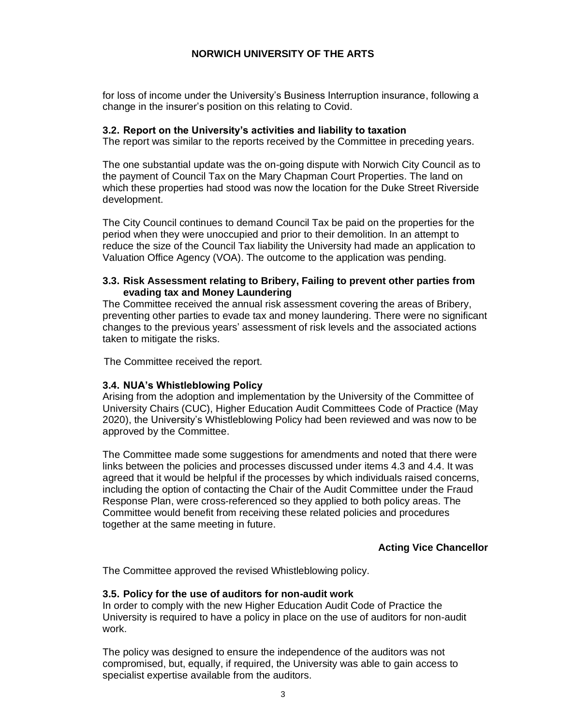for loss of income under the University's Business Interruption insurance, following a change in the insurer's position on this relating to Covid.

#### **3.2. Report on the University's activities and liability to taxation**

The report was similar to the reports received by the Committee in preceding years.

The one substantial update was the on-going dispute with Norwich City Council as to the payment of Council Tax on the Mary Chapman Court Properties. The land on which these properties had stood was now the location for the Duke Street Riverside development.

The City Council continues to demand Council Tax be paid on the properties for the period when they were unoccupied and prior to their demolition. In an attempt to reduce the size of the Council Tax liability the University had made an application to Valuation Office Agency (VOA). The outcome to the application was pending.

### **3.3. Risk Assessment relating to Bribery, Failing to prevent other parties from evading tax and Money Laundering**

The Committee received the annual risk assessment covering the areas of Bribery, preventing other parties to evade tax and money laundering. There were no significant changes to the previous years' assessment of risk levels and the associated actions taken to mitigate the risks.

The Committee received the report.

## **3.4. NUA's Whistleblowing Policy**

Arising from the adoption and implementation by the University of the Committee of University Chairs (CUC), Higher Education Audit Committees Code of Practice (May 2020), the University's Whistleblowing Policy had been reviewed and was now to be approved by the Committee.

The Committee made some suggestions for amendments and noted that there were links between the policies and processes discussed under items 4.3 and 4.4. It was agreed that it would be helpful if the processes by which individuals raised concerns, including the option of contacting the Chair of the Audit Committee under the Fraud Response Plan, were cross-referenced so they applied to both policy areas. The Committee would benefit from receiving these related policies and procedures together at the same meeting in future.

## **Acting Vice Chancellor**

The Committee approved the revised Whistleblowing policy.

## **3.5. Policy for the use of auditors for non-audit work**

In order to comply with the new Higher Education Audit Code of Practice the University is required to have a policy in place on the use of auditors for non-audit work.

The policy was designed to ensure the independence of the auditors was not compromised, but, equally, if required, the University was able to gain access to specialist expertise available from the auditors.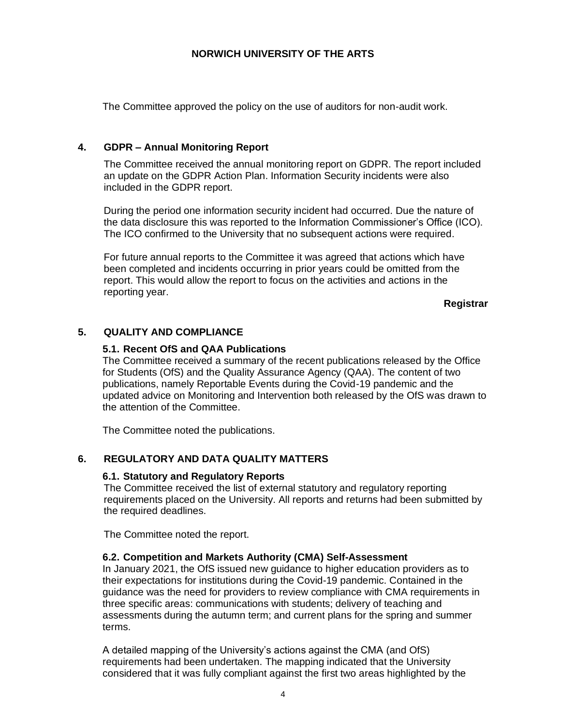The Committee approved the policy on the use of auditors for non-audit work.

# **4. GDPR – Annual Monitoring Report**

The Committee received the annual monitoring report on GDPR. The report included an update on the GDPR Action Plan. Information Security incidents were also included in the GDPR report.

During the period one information security incident had occurred. Due the nature of the data disclosure this was reported to the Information Commissioner's Office (ICO). The ICO confirmed to the University that no subsequent actions were required.

For future annual reports to the Committee it was agreed that actions which have been completed and incidents occurring in prior years could be omitted from the report. This would allow the report to focus on the activities and actions in the reporting year.

**Registrar**

# **5. QUALITY AND COMPLIANCE**

## **5.1. Recent OfS and QAA Publications**

The Committee received a summary of the recent publications released by the Office for Students (OfS) and the Quality Assurance Agency (QAA). The content of two publications, namely Reportable Events during the Covid-19 pandemic and the updated advice on Monitoring and Intervention both released by the OfS was drawn to the attention of the Committee.

The Committee noted the publications.

# **6. REGULATORY AND DATA QUALITY MATTERS**

## **6.1. Statutory and Regulatory Reports**

The Committee received the list of external statutory and regulatory reporting requirements placed on the University. All reports and returns had been submitted by the required deadlines.

The Committee noted the report.

# **6.2. Competition and Markets Authority (CMA) Self-Assessment**

In January 2021, the OfS issued new guidance to higher education providers as to their expectations for institutions during the Covid-19 pandemic. Contained in the guidance was the need for providers to review compliance with CMA requirements in three specific areas: communications with students; delivery of teaching and assessments during the autumn term; and current plans for the spring and summer terms.

A detailed mapping of the University's actions against the CMA (and OfS) requirements had been undertaken. The mapping indicated that the University considered that it was fully compliant against the first two areas highlighted by the